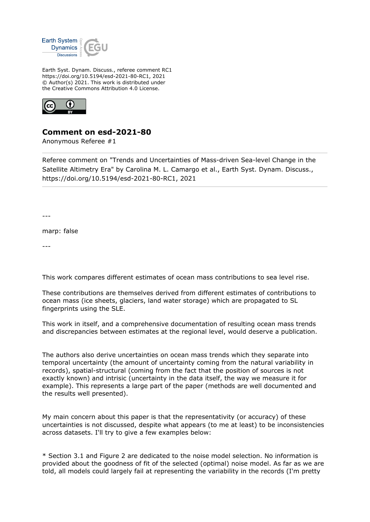

Earth Syst. Dynam. Discuss., referee comment RC1 https://doi.org/10.5194/esd-2021-80-RC1, 2021 © Author(s) 2021. This work is distributed under the Creative Commons Attribution 4.0 License.



## **Comment on esd-2021-80**

Anonymous Referee #1

Referee comment on "Trends and Uncertainties of Mass-driven Sea-level Change in the Satellite Altimetry Era" by Carolina M. L. Camargo et al., Earth Syst. Dynam. Discuss., https://doi.org/10.5194/esd-2021-80-RC1, 2021

---

marp: false

---

This work compares different estimates of ocean mass contributions to sea level rise.

These contributions are themselves derived from different estimates of contributions to ocean mass (ice sheets, glaciers, land water storage) which are propagated to SL fingerprints using the SLE.

This work in itself, and a comprehensive documentation of resulting ocean mass trends and discrepancies between estimates at the regional level, would deserve a publication.

The authors also derive uncertainties on ocean mass trends which they separate into temporal uncertainty (the amount of uncertainty coming from the natural variability in records), spatial-structural (coming from the fact that the position of sources is not exactly known) and intrisic (uncertainty in the data itself, the way we measure it for example). This represents a large part of the paper (methods are well documented and the results well presented).

My main concern about this paper is that the representativity (or accuracy) of these uncertainties is not discussed, despite what appears (to me at least) to be inconsistencies across datasets. I'll try to give a few examples below:

\* Section 3.1 and Figure 2 are dedicated to the noise model selection. No information is provided about the goodness of fit of the selected (optimal) noise model. As far as we are told, all models could largely fail at representing the variability in the records (I'm pretty